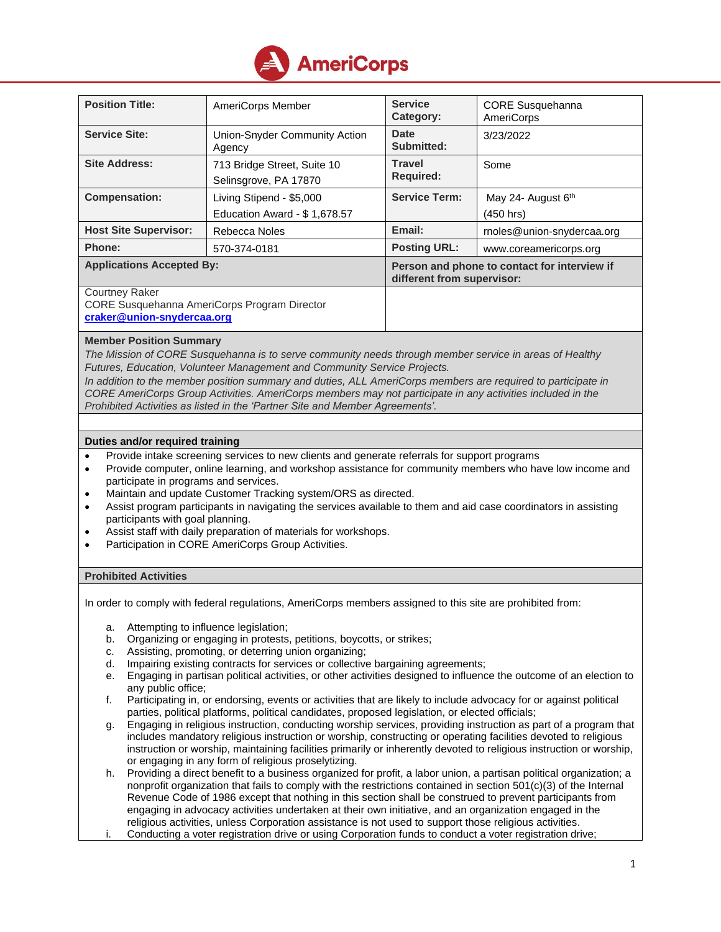

| <b>Position Title:</b>                                                | AmeriCorps Member                                    | <b>Service</b><br>Category:                                                | <b>CORE Susquehanna</b><br><b>AmeriCorps</b> |
|-----------------------------------------------------------------------|------------------------------------------------------|----------------------------------------------------------------------------|----------------------------------------------|
| <b>Service Site:</b>                                                  | Union-Snyder Community Action<br>Agency              | <b>Date</b><br>Submitted:                                                  | 3/23/2022                                    |
| <b>Site Address:</b>                                                  | 713 Bridge Street, Suite 10<br>Selinsgrove, PA 17870 | <b>Travel</b><br><b>Required:</b>                                          | Some                                         |
| <b>Compensation:</b>                                                  | Living Stipend - \$5,000                             | <b>Service Term:</b>                                                       | May 24- August 6th                           |
|                                                                       | Education Award - \$1,678.57                         |                                                                            | $(450$ hrs)                                  |
| <b>Host Site Supervisor:</b>                                          | Rebecca Noles                                        | Email:                                                                     | rnoles@union-snydercaa.org                   |
| Phone:                                                                | 570-374-0181                                         | <b>Posting URL:</b>                                                        | www.coreamericorps.org                       |
| <b>Applications Accepted By:</b>                                      |                                                      | Person and phone to contact for interview if<br>different from supervisor: |                                              |
| <b>Courtney Raker</b><br>CORE Susquehanna AmeriCorps Program Director |                                                      |                                                                            |                                              |
| craker@union-snydercaa.org                                            |                                                      |                                                                            |                                              |

## **Member Position Summary**

*The Mission of CORE Susquehanna is to serve community needs through member service in areas of Healthy Futures, Education, Volunteer Management and Community Service Projects.*

*In addition to the member position summary and duties, ALL AmeriCorps members are required to participate in CORE AmeriCorps Group Activities. AmeriCorps members may not participate in any activities included in the Prohibited Activities as listed in the 'Partner Site and Member Agreements'.*

## **Duties and/or required training**

- Provide intake screening services to new clients and generate referrals for support programs
- Provide computer, online learning, and workshop assistance for community members who have low income and participate in programs and services.
- Maintain and update Customer Tracking system/ORS as directed.
- Assist program participants in navigating the services available to them and aid case coordinators in assisting participants with goal planning.
- Assist staff with daily preparation of materials for workshops.
- Participation in CORE AmeriCorps Group Activities.

## **Prohibited Activities**

In order to comply with federal regulations, AmeriCorps members assigned to this site are prohibited from:

- a. Attempting to influence legislation;
- b. Organizing or engaging in protests, petitions, boycotts, or strikes;
- c. Assisting, promoting, or deterring union organizing;
- d. Impairing existing contracts for services or collective bargaining agreements;
- e. Engaging in partisan political activities, or other activities designed to influence the outcome of an election to any public office;
- f. Participating in, or endorsing, events or activities that are likely to include advocacy for or against political parties, political platforms, political candidates, proposed legislation, or elected officials;
- g. Engaging in religious instruction, conducting worship services, providing instruction as part of a program that includes mandatory religious instruction or worship, constructing or operating facilities devoted to religious instruction or worship, maintaining facilities primarily or inherently devoted to religious instruction or worship, or engaging in any form of religious proselytizing.
- h. Providing a direct benefit to a business organized for profit, a labor union, a partisan political organization; a nonprofit organization that fails to comply with the restrictions contained in section 501(c)(3) of the Internal Revenue Code of 1986 except that nothing in this section shall be construed to prevent participants from engaging in advocacy activities undertaken at their own initiative, and an organization engaged in the religious activities, unless Corporation assistance is not used to support those religious activities.
- Conducting a voter registration drive or using Corporation funds to conduct a voter registration drive;